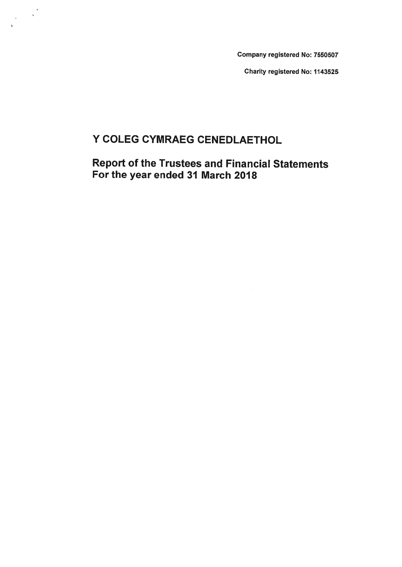Company registered No: 7550507

Charity registered No: 1143525

# Y COLEG CYMRAEG CENEDLAETHOL

 $\frac{1}{2} \left( \begin{array}{cc} 0 & 0 & 0 \\ 0 & 0 & 0 \\ 0 & 0 & 0 \end{array} \right)$ 

# Report of the Trustees and Financial Statements For the year ended 31 March 2018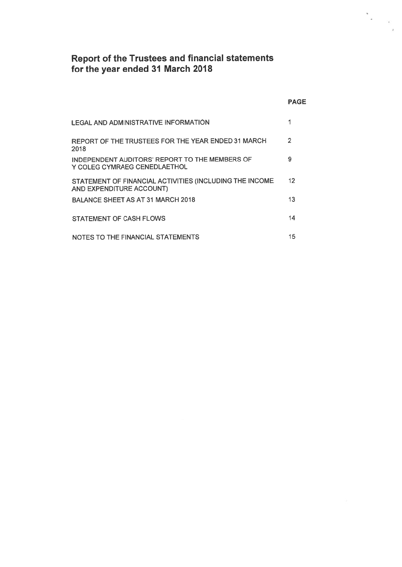### Report of the Trustees and financial statements for the year ended 31 March 2018

 $\frac{1}{2} \frac{1}{\sqrt{2}}$ 

|                                                                                     | <b>PAGE</b>    |
|-------------------------------------------------------------------------------------|----------------|
| LEGAL AND ADMINISTRATIVE INFORMATION                                                | 1              |
| REPORT OF THE TRUSTEES FOR THE YEAR ENDED 31 MARCH<br>2018                          | $\overline{2}$ |
| INDEPENDENT AUDITORS' REPORT TO THE MEMBERS OF<br>Y COLEG CYMRAEG CENEDLAETHOL      | 9              |
| STATEMENT OF FINANCIAL ACTIVITIES (INCLUDING THE INCOME<br>AND EXPENDITURE ACCOUNT) | 12             |
| <b>BALANCE SHEET AS AT 31 MARCH 2018</b>                                            | 13             |
| STATEMENT OF CASH FLOWS                                                             | 14             |
| NOTES TO THE FINANCIAL STATEMENTS                                                   | 15             |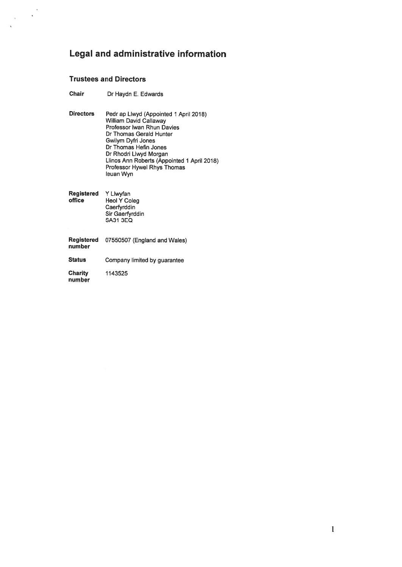### Legal and administrative information

### Trustees and Directors

 $\frac{1}{2}$ 

 $\bar{\lambda}$ 

- Chair Dr Haydn E. Edwards
- Directors Pedr ap Llwyd (Appointed <sup>1</sup> April 2018) William David Callaway Professor Iwan Rhun Davies Dr Thomas Gerald Hunter Gwilym Dyfri Jones Dr Thomas Hefin Jones Dr Rhodri Liwyd Morgan Limos Ann Roberts (Appointed 1 April 2018) Professor Hywel Rhys Thomas leuan Wyn

| Registered Y Llwyfan<br>office | <b>Heol Y Coleg</b><br>Caerfyrddin<br>Sir Gaerfyrddin |
|--------------------------------|-------------------------------------------------------|
|                                | <b>SA31 3EQ</b>                                       |

Registered 07550507 (England and Wales) number Status Company limited by guarantee Charity 1143525 number

 $\mathbf{1}$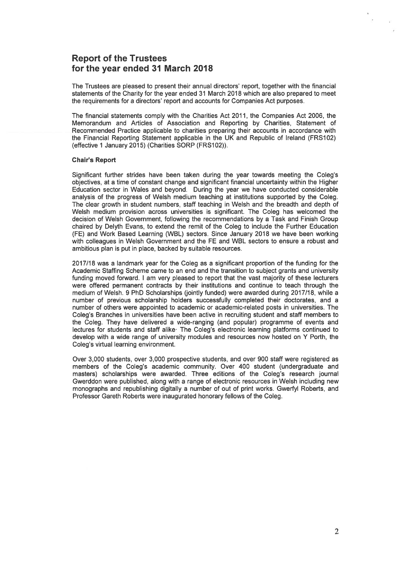### Report of the Trustees for the year ended 31 March 2018

The Trustees are pleased to presen<sup>t</sup> their annual directors' report, together with the financial statements of the Charity for the year ended 31 March 2018 which are also prepared to meet the requirements for <sup>a</sup> directors' repor<sup>t</sup> and accounts for Companies Act purposes.

The financial statements comply with the Charities Act 2011, the Companies Act 2006, the Memorandum and Articles of Association and Reporting by Charities, Statement of Recommended Practice applicable to charities preparing their accounts in accordance with the Financial Reporting Statement applicable in the UK and Republic of Ireland (FRS102) (effective 1 January 2015) (Charities SORP (FRS102)).

#### Chair's Report

Significant further strides have been taken during the year towards meeting the Colegs objectives, at <sup>a</sup> time of constant change and significant financial uncertainty within the Higher Education sector in Wales and beyond. During the year we have conducted considerable analysis of the progress of Welsh medium teaching at institutions supported by the Coleg. The clear growth in student numbers, staff teaching in Welsh and the breadth and depth of Welsh medium provision across universities is significant. The Coleg has welcomed the decision of Welsh Government, following the recommendations by <sup>a</sup> Task and Finish Group chaired by Delyth Evans, to extend the remit of the Coleg to include the Further Education (FE) and Work Based Learning (WBL) sectors. Since January 2018 we have been working with colleagues in Welsh Government and the FE and WBL sectors to ensure <sup>a</sup> robust and ambitious plan is pu<sup>t</sup> in place, backed by suitable resources.

2017/18 was <sup>a</sup> landmark year for the Coleg as <sup>a</sup> significant proportion of the funding for the Academic Staffing Scheme came to an end and the transition to subject grants and university funding moved forward. I am very pleased to repor<sup>t</sup> that the vast majority of these lecturers were offered permanen<sup>t</sup> contracts by their institutions and continue to teach through the medium of Welsh. 9 PhD Scholarships (jointly funded) were awarded during 2017/18, while a number of previous scholarship holders successfully completed their doctorates, and <sup>a</sup> number of others were appointed to academic or academic-related posts in universities. The Coleg's Branches in universities have been active in recruiting student and staff members to the Coleg. They have delivered <sup>a</sup> wide-ranging (and popular) programme of events and lectures for students and staff alike<sup>.</sup> The Coleg's electronic learning platforms continued to develop with <sup>a</sup> wide range of university modules and resources now hosted on Y Porth, the Coleg's virtual learning environment.

Over 3,000 students, over 3,000 prospective students, and over 900 staff were registered as members of the Coleg's academic community. Over 400 student (undergraduate and masters) scholarships were awarded. Three editions of the Coleg's research journal Gwerddon were published, along with <sup>a</sup> range of electronic resources in Welsh including new monographs and republishing digitally <sup>a</sup> number of out of print works. Gwerfyl Roberts, and Professor Gareth Roberts were inaugurated honorary fellows of the Coleg.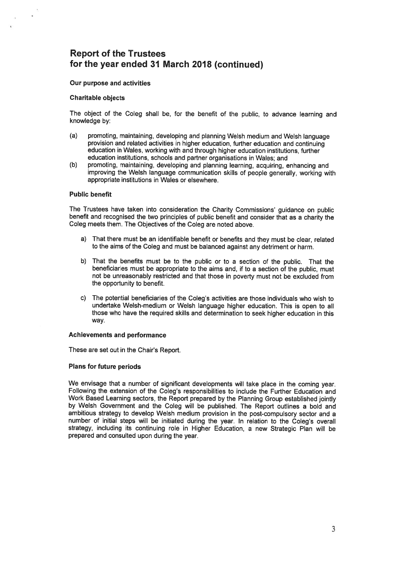#### Our purpose and activities

#### Charitable objects

The object of the Coleg shall be, for the benefit of the public, to advance learning and knowledge by:

- (a) promoting, maintaining, developing and <sup>p</sup>lanning Welsh medium and Welsh language provision and related activities in higher education, further education and continuing education in Wales, working with and through higher education institutions, further education institutions, schools and partner organisations in Wales; and
- (b) promoting, maintaining, developing and <sup>p</sup>lanning learning, acquiring, enhancing and improving the Welsh language communication skills of people generally, working with appropriate institutions in Wales or elsewhere.

#### Public benefit

The Trustees have taken into consideration the Charity Commissions' guidance on public benefit and recognised the two principles of public benefit and consider that as <sup>a</sup> charity the Coleg meets them. The Objectives of the Coleg are noted above.

- a) That there must be an identifiable benefit or benefits and they must be clear, related to the aims of the Coleg and must be balanced against any detriment or harm.
- b) That the benefits must be to the public or to <sup>a</sup> section of the public. That the beneficiaries must be appropriate to the aims and, if to <sup>a</sup> section of the public, must not be unreasonably restricted and that those in poverty must not be excluded from the opportunity to benefit.
- C) The potential beneficiaries of the Coleg's activities are those individuals who wish to undertake Welsh-medium or Welsh language higher education. This is open to all those who have the required skills and determination to seek higher education in this way.

#### Achievements and performance

These are set out in the Chair's Report.

### Plans for future periods

We envisage that <sup>a</sup> number of significant developments will take <sup>p</sup>lace in the coming year. Following the extension of the Coleg's responsibilities to include the Further Education and Work Based Learning sectors, the Report prepare<sup>d</sup> by the Planning Group established jointly by Welsh Government and the Coleg will be published. The Report outlines <sup>a</sup> bold and ambitious strategy to develop Welsh medium provision in the post-compulsory sector and <sup>a</sup> number of initial steps will be initiated during the year. In relation to the Coleg's overall strategy, including its continuing role in Higher Education, <sup>a</sup> new Strategic Plan will be prepared and consulted upon during the year.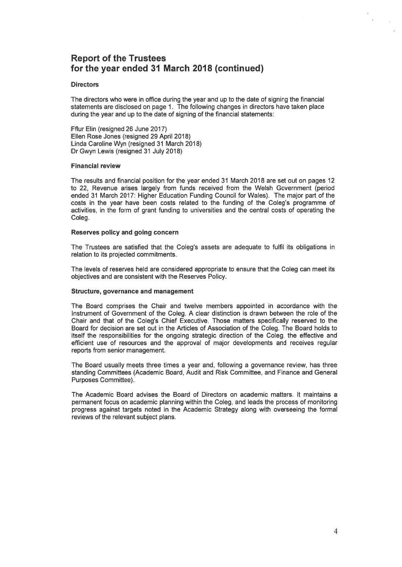### **Directors**

The directors who were in office during the year and up to the date of signing the financial statements are disclosed on page 1. The following changes in directors have taken place during the year and up to the date of signing of the financial statements:

Fflur Elm (resigned 26 June 2017) Ellen Rose Jones (resigned 29 April 2018) Linda Caroline Wyn (resigned 31 March 2018) Dr Gwyn Lewis (resigned 31 July 2018)

### Financial review

The results and financial position for the year ended 31 March 2018 are set out on pages 12 to 22, Revenue arises largely from funds received from the Welsh Government (period ended 31 March 2017: Higher Education Funding Council for Wales). The major par<sup>t</sup> of the costs in the year have been costs related to the funding of the Coleg's programme of activities, in the form of gran<sup>t</sup> funding to universities and the central costs of operating the Coleg.

### Reserves policy and going concern

The Trustees are satisfied that the Coleg's assets are adequate to fulfil its obligations in relation to its projected commitments.

The levels of reserves held are considered appropriate to ensure that the Coleg can meet its objectives and are consistent with the Reserves Policy.

### Structure, governance and managemen<sup>t</sup>

The Board comprises the Chair and twelve members appointed in accordance with the Instrument of Government of the Coleg. A clear distinction is drawn between the role of the Chair and that of the Coleg's Chief Executive. Those matters specifically reserved to the Board for decision are set out in the Articles of Association of the Coleg. The Board holds to itself the responsibilities for the ongoing strategic direction of the Coleg, the effective and efficient use of resources and the approval of major developments and receives regular reports from senior management.

The Board usually meets three times <sup>a</sup> year and, following <sup>a</sup> governance review, has three standing Committees (Academic Board, Audit and Risk Committee, and Finance and General Purposes Committee).

The Academic Board advises the Board of Directors on academic matters. It maintains <sup>a</sup> permanen<sup>t</sup> focus on academic planning within the Coleg, and leads the process of monitoring progress against targets noted in the Academic Strategy along with overseeing the formal reviews of the relevant subject plans.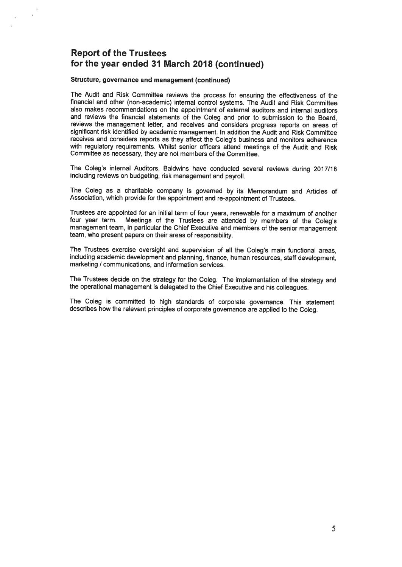#### Structure, governance and managemen<sup>t</sup> (continued)

i.

The Audit and Risk Committee reviews the process for ensuring the effectiveness of the financial and other (non-academic) internal control systems. The Audit and Risk Committee also makes recommendations on the appointment of external auditors and internal auditors and reviews the financial statements of the Coleg and prior to submission to the Board, reviews the managemen<sup>t</sup> letter, and receives and considers progress reports on areas of significant risk identified by academic management. In addition the Audit and Risk Committee receives and considers reports as they affect the Coleg's business and monitors adherence with regulatory requirements. Whilst senior officers attend meetings of the Audit and Risk Committee as necessary, they are not members of the Committee.

The Coleg's internal Auditors, Baldwins have conducted several reviews during 2017/18 including reviews on budgeting, risk managemen<sup>t</sup> and payroll.

The Coleg as <sup>a</sup> charitable company is governe<sup>d</sup> by its Memorandum and Articles of Association, which provide for the appointment and re-appointment of Trustees.

Trustees are appointed for an initial term of four years, renewable for <sup>a</sup> maximum of another four year term. Meetings of the Trustees are attended by members of the Coleg's managemen<sup>t</sup> team, in particular the Chief Executive and members of the senior managemen<sup>t</sup> team, who presen<sup>t</sup> papers on their areas of responsibility.

The Trustees exercise oversight and supervision of all the Coleg's main functional areas, including academic development and <sup>p</sup>lanning, finance, human resources, staff development, marketing / communications, and information services.

The Trustees decide on the strategy for the Coleg. The implementation of the strategy and the operational managemen<sup>t</sup> is delegated to the Chief Executive and his colleagues.

The Coleg is committed to high standards of corporate governance. This statement describes how the relevant principles of corporate governance are applied to the Coleg.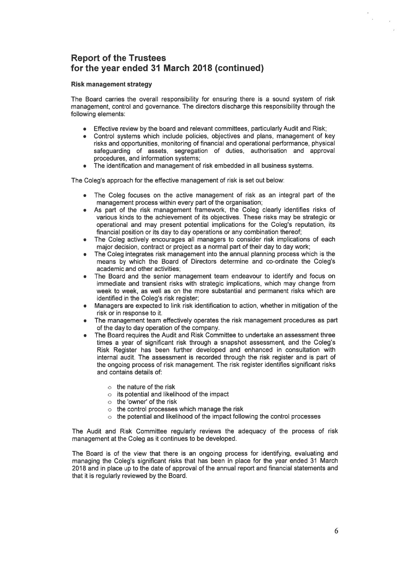### Risk management strategy

The Board carries the overall responsibility for ensuring there is <sup>a</sup> sound system of risk management, control and governance. The directors discharge this responsibility through the following elements:

- • $\bullet$   $\;\;$  Effective review by the board and relevant committees, particularly Audit and Risk;
- • Control systems which include policies, objectives and plans, managemen<sup>t</sup> of key risks and opportunities, monitoring of financial and operational performance, physical safeguarding of assets, segregation of duties, authorisation and approval procedures, and information systems;
- • $\bullet$   $\;$  The identification and management of risk embedded in all business systems.

The Coleg's approach for the effective managemen<sup>t</sup> of risk is set out below:

- • The Coleg focuses on the active managemen<sup>t</sup> of risk as an integral par<sup>t</sup> of the management process within every part of the organisation;
- • As par<sup>t</sup> of the risk managemen<sup>t</sup> framework, the Coleg clearly identifies risks of various kinds to the achievement of its objectives. These risks may be strategic or operational and may presen<sup>t</sup> potential implications for the Coleg's reputation, its financial position or its day to day operations or any combination thereof;
- • The Coleg actively encourages all managers to consider risk implications of each major decision, contract or project as <sup>a</sup> normal par<sup>t</sup> of their day to day work;
- • The Coleg integrates risk managemen<sup>t</sup> into the annual planning process which is the means by which the Board of Directors determine and co-ordinate the Coleg's academic and other activities;
- • The Board and the senior managemen<sup>t</sup> team endeavour to identify and focus on immediate and transient risks with strategic implications, which may change from week to week, as well as on the more substantial and permanen<sup>t</sup> risks which are identified in the Coleg's risk register;
- • Managers are expected to link risk identification to action, whether in mitigation of the risk or in response to it.
- • The managemen<sup>t</sup> team effectively operates the risk managemen<sup>t</sup> procedures as par<sup>t</sup> of the day to day operation of the company.
- The Board requires the Audit and Risk Committee to undertake an assessment three times <sup>a</sup> year of significant risk through <sup>a</sup> snapshot assessment, and the Coleg's Risk Register has been further developed and enhanced in consultation with internal audit. The assessment is recorded through the risk register and is par<sup>t</sup> of the ongoing process of risk management. The risk register identifies significant risks and contains details of:
	- $\circ$  the nature of the risk
	- $\circ$   $\;$  its potential and likelihood of the impact
	- $\circ$  the 'owner' of the risk
	- $\circ$  the control processes which manage the risk
	- $\circ$   $\,$  the potential and likelihood of the impact following the control processes

The Audit and Risk Committee regularly reviews the adequacy of the process of risk managemen<sup>t</sup> at the Coleg as it continues to be developed.

The Board is of the view that there is an ongoing process for identifying, evaluating and managing the Coleg's significant risks that has been in place for the year ended 31 March 2018 and in place up to the date of approval of the annual repor<sup>t</sup> and financial statements and that it is regularly reviewed by the Board.

 $\alpha$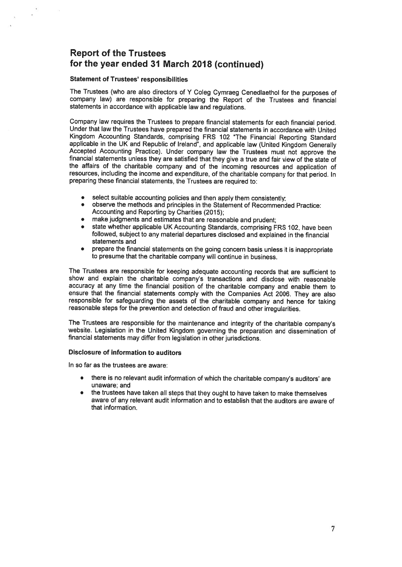#### Statement of Trustees' responsibilities

The Trustees (who are also directors of <sup>Y</sup> Coleg Cymraeg Cenedlaethol for the purposes of company law) are responsible for preparing the Report of the Trustees and financial statements in accordance with applicable law and regulations.

Company law requires the Trustees to prepare financial statements for each financial period. Under that law the Trustees have prepared the financial statements in accordance with United Kingdom Accounting Standards, comprising FRS 102 "The Financial Reporting Standard applicable in the UK and Republic of Ireland", and applicable law (United Kingdom Generally Accepted Accounting Practice). Under company law the Trustees must not approve the financial statements unless they are satisfied that they <sup>g</sup>ive <sup>a</sup> true and fair view of the state of the affairs of the charitable company and of the incoming resources and application of resources, including the income and expenditure, of the charitable company for that period. In preparing these financial statements, the Trustees are required to:

- select suitable accounting policies and then apply them consistently;
- • observe the methods and principles in the Statement of Recommended Practice: Accounting and Reporting by Charities (2015);
- •make judgments and estimates that are reasonable and prudent;
- • state whether applicable UK Accounting Standards, comprising FRS 102, have been followed, subject to any material departures disclosed and explained in the financial statements and
- prepare the financial statements on the going concern basis unless it is inappropriate to presume that the charitable company will continue in business.

The Trustees are responsible for keeping adequate accounting records that are sufficient to show and explain the charitable company's transactions and disclose with reasonable accuracy at any time the financial position of the charitable company and enable them to ensure that the financial statements comply with the Companies Act 2006. They are also responsible for safeguarding the assets of the charitable company and hence for taking reasonable steps for the prevention and detection of fraud and other irregularities.

The Trustees are responsible for the maintenance and integrity of the charitable company's website. Legislation in the United Kingdom governing the preparation and dissemination of financial statements may differ from legislation in other jurisdictions.

### Disclosure of information to auditors

In so far as the trustees are aware:

- • there is no relevant audit information of which the charitable company's auditors' are unaware; and
- • the trustees have taken all steps that they ought to have taken to make themselves aware of any relevant audit information and to establish that the auditors are aware of that information.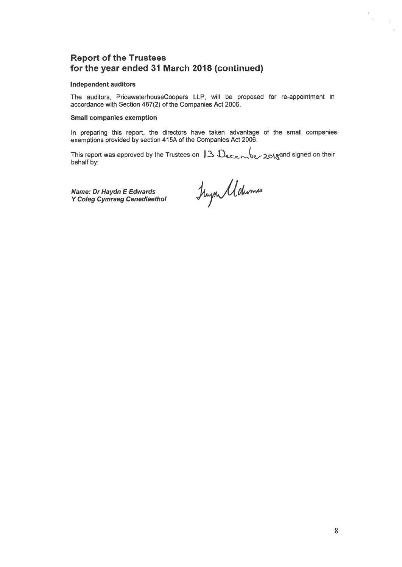#### Independent auditors

The auditors, PricewaterhouseCoopers LLP, will be proposed for re-appointment in accordance with Section 487(2) of the Companies Act 2006.

### Small companies exemption

In preparing this report, the directors have taken advantage of the small companies exemptions provided by section 415A of the Companies Act 2006.

This report was approved by the Trustees on  $13 \text{ Dec}_e$   $\sqrt{6}$  /  $20$  and signed on their behalf by

Name: Dr Haydn E Edwards Y Coleg Cymraeg Cenedlaethol

 $\sim$ 

.<br>District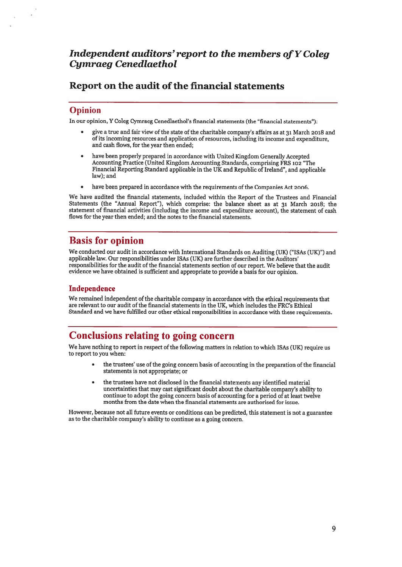## Independent auditors' report to the members of Y Coleg Cymraeg Cenedlaethol

## Report on the audit of the financial statements

### Opinion

In our opinion, <sup>Y</sup> Coleg Cymraeg Cenedlaethol's financial statements (the "financial statements"):

- <sup>g</sup>ive <sup>a</sup> true and fair view of the state of the charitable company's affairs as at <sup>31</sup> March <sup>2018</sup> and of its incoming resources and application of resources, including its income and expenditure, and cash flows, for the year then ended;
- • have been properly prepared in accordance with United Kingdom Generally Accepted Accounting Practice (United Kingdom Accounting Standards, comprising FRS <sup>102</sup> "The Financial Reporting Standard applicable in the UK and Republic of Ireland", and applicable law); and
- •have been prepared in accordance with the requirements of the Companies Act 2006.

We have audited the financial statements, included within the Report of the Trustees and Financial Statements (the "Annual Report"), which comprise: the balance sheet as at 31 March 2018; the statement of financial activities (including the income and expenditure account), the statement of cash flows for the year then ended; and the notes to the financial statements.

## Basis for opinion

We conducted our audit in accordance with International Standards on Auditing (UK) ("ISAs (UK)") and applicable law. Our responsibilities under ISAs (UK) are further described in the Auditors' responsibilities for the audit of the financial statements section of our report. We believe that the audit evidence we have obtained is sufficient and appropriate to provide <sup>a</sup> basis for our opinion.

### Independence

We remained independent of the charitable company in accordance with the ethical requirements that are relevant to our audit of the financial statements in the UK, which includes the FRC's Ethical Standard and we have fulfilled our other ethical responsibilities in accordance with these requirements.

# Conclusions relating to going concern

We have nothing to repor<sup>t</sup> in respec<sup>t</sup> of the following matters in relation to which ISAs (UK) require us to repor<sup>t</sup> to you when:

- • the trustees' use of the going concern basis of accounting in the preparation of the financial statements is not appropriate; or
- • the trustees have not disclosed in the financial statements any identified material uncertainties that may cast significant doubt about the charitable company's ability to continue to adopt the going concern basis of accounting for <sup>a</sup> period of at least twelve months from the date when the financial statements are authorised for issue.

However, because not all future events or conditions can be predicted, this statement is not <sup>a</sup> guarantee as to the charitable company's ability to continue as <sup>a</sup> going concern.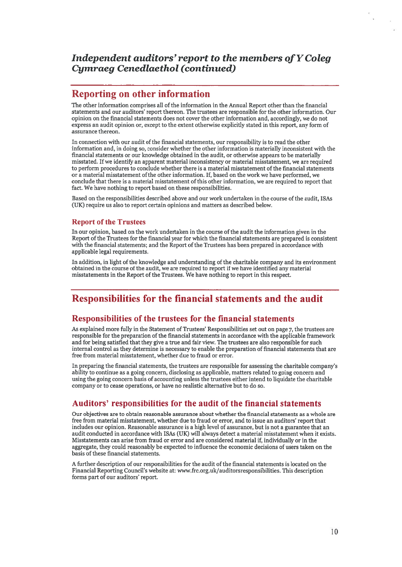## Independent auditors'report to the members ofYColeg Cymraeg Cenedlaethol (continued)

### Reporting on other information

The other information comprises all of the information in the Annual Report other than the financial statements and our auditors' repor<sup>t</sup> thereon. The trustees are responsible for the other information. Our opinion on the financial statements does not cover the other information and, accordingly, we do not express an audit opinion or, excep<sup>t</sup> to the extent otherwise explicitly stated in this report, any form of assurance thereon.

In connection with our audit of the financial statements, our responsibility is to read the other information and, in doing so, consider whether the other information is materially inconsistent with the financial statements or our knowledge obtained in the audit, or otherwise appears to be materially misstated. If we identify an apparen<sup>t</sup> material inconsistency or material misstatement, we are required to perform procedures to conclude whether there is <sup>a</sup> material misstatement of the financial statements or a material misstatement of the other information. If, based on the work we have performed, we conclude that there is <sup>a</sup> material misstatement of this other information, we are required to repor<sup>t</sup> that fact. We have nothing to report based on these responsibilities.

Based on the responsibilities described above and our work undertaken in the course of the audit, ISAs (UK) require us also to repor<sup>t</sup> certain opinions and matters as described below.

### Report of the Trustees

In our opinion, based on the work undertaken in the course of the audit the information given in the Report ofthe Trustees for the financial year for which the financial statements are prepared is consistent with the financial statements; and the Report of the Trustees has been prepared in accordance with applicable legal requirements.

In addition, in light of the knowledge and understanding of the charitable company and its environment obtained in the course of the audit, we are required to repor<sup>t</sup> if we have identified any material misstatements in the Report of the Trustees. We have nothing to repor<sup>t</sup> in this respect.

## Responsibilities for the financial statements and the audit

### Responsibilities of the trustees for the financial statements

As explained more fully in the Statement of Trustees' Responsibilities set out on page 7, the trustees are responsible for the preparation of the financial statements in accordance with the applicable framework and for being satisfied that they give <sup>a</sup> true and fair view. The trustees are also responsible for such internal control as they determine is necessary to enable the preparation of financial statements that are free from material misstatement, whether due to fraud or error.

In preparing the financial statements, the trustees are responsible for assessing the charitable company's ability to continue as <sup>a</sup> going concern, disclosing as applicable, matters related to going concern and using the going concern basis of accounting unless the trustees either intend to liquidate the charitable company or to cease operations, or have no realistic alternative but to do so.

### Auditors' responsibilities for the audit of the financial statements

Our objectives are to obtain reasonable assurance about whether the financial statements as <sup>a</sup> whole are free from material misstatement, whether due to fraud or error, and to issue an auditors' repor<sup>t</sup> that includes our opinion. Reasonable assurance is <sup>a</sup> high level of assurance, but is not <sup>a</sup> guarantee that an audit conducted in accordance with ISAs (UK) will always detect <sup>a</sup> material misstatement when it exists. Misstatements can arise from fraud or error and are considered material if, individually or in the aggregate, they could reasonably be expected to influence the economic decisions of users taken on the basis of these financial statements.

A further description of our responsibilities for the audit of the financial statements is located on the Financial Reporting Council's website at: www.frc.org.uk/auditorsresponsibilities. This description forms par<sup>t</sup> of our auditors' report.

n.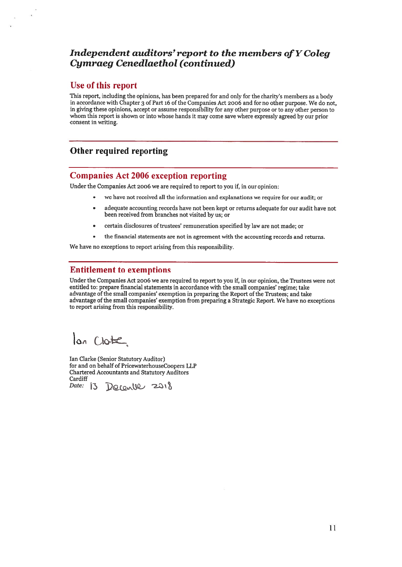## Independent auditors'report to the members ofYColeg Cymraeg Cenedlaethol (continued)

### Use of this repor<sup>t</sup>

This report, including the opinions, has been prepare<sup>d</sup> for and only for the charity's members as <sup>a</sup> body in accordance with Chapter 3 of Part 16 of the Companies Act 2006 and for no other purpose. We do not, in <sup>g</sup>iving these opinions, accep<sup>t</sup> or assume responsibility for any other purpose or to any other person to whom this repor<sup>t</sup> is shown or into whose hands it may come save where expressly agree<sup>d</sup> by our prior consent in writing.

## Other required reporting

### Companies Act 2006 exception reporting

Under the Companies Act <sup>2006</sup> we are required to repor<sup>t</sup> to you if, in our opinion:

- we have not received all the information and explanations we require for our audit; or
	- . adequate accounting records have not been kept or returns adequate for our audit have not been received from branches not visited by us; or
- . certain disclosures of trustees' remuneration specified by law are not made; or
- •the financial statements are not in agreemen<sup>t</sup> with the accounting records and returns.

We have no exceptions to repor<sup>t</sup> arising from this responsibility.

### Entitlement to exemptions

Under the Companies Act <sup>2006</sup> we are required to repor<sup>t</sup> to you if, in our opinion, the Trustees were not entitled to: prepare financial statements in accordance with the small companies' regime; take advantage of the small companies' exemption in preparing the Report of the Trustees; and take advantage of the small companies' exemption from preparing <sup>a</sup> Strategic Report. We have no exceptions to repor<sup>t</sup> arising from this responsibility.

lon Clobe

Ian Clarke (Senior Statutory Auditor) for and on behalf of PricewaterhouseCoopers LLP Chartered Accountants and Statutory Auditors Cardiff

Date: 13 Docomber 2018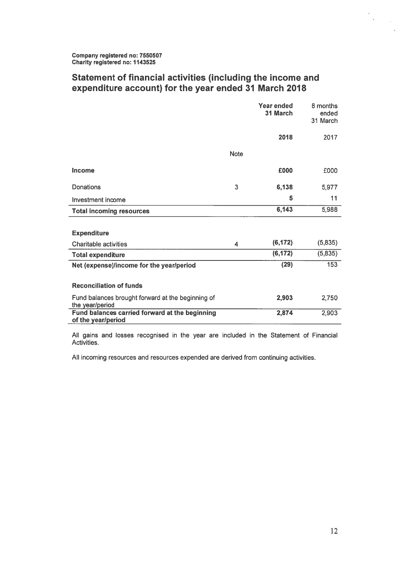### Statement of financial activities (including the income and expenditure account) for the year ended 31 March 2018

|                                                                      |             | Year ended<br>31 March | 8 months<br>ended<br>31 March |
|----------------------------------------------------------------------|-------------|------------------------|-------------------------------|
|                                                                      |             | 2018                   | 2017                          |
|                                                                      | <b>Note</b> |                        |                               |
| <b>Income</b>                                                        |             | £000                   | £000                          |
| Donations                                                            | 3           | 6,138                  | 5,977                         |
| Investment income                                                    |             | 5                      | 11                            |
| <b>Total incoming resources</b>                                      |             | 6,143                  | 5,988                         |
|                                                                      |             |                        |                               |
| <b>Expenditure</b>                                                   |             |                        |                               |
| <b>Charitable activities</b>                                         | 4           | (6, 172)               | (5,835)                       |
| <b>Total expenditure</b>                                             |             | (6, 172)               | (5,835)                       |
| Net (expense)/income for the year/period                             |             | (29)                   | 153                           |
|                                                                      |             |                        |                               |
| <b>Reconciliation of funds</b>                                       |             |                        |                               |
| Fund balances brought forward at the beginning of<br>the year/period |             | 2,903                  | 2,750                         |
| Fund balances carried forward at the beginning<br>of the year/period |             | 2,874                  | 2,903                         |

All gains and losses recognised in the year are included in the Statement of Financia **Activities** 

All incoming resources and resources expended are derived from continuing activities.

 $\frac{a}{m}$  ,  $\frac{a}{a}$ 

 $\mathcal{L}$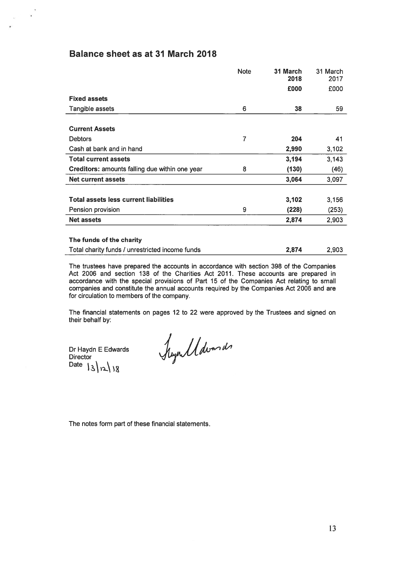### Balance sheet as at 31 March 2018

 $\frac{\partial}{\partial t} \frac{\partial}{\partial t} = \frac{\partial}{\partial t}$ 

|                                                 | <b>Note</b> | 31 March<br>2018 | 31 March<br>2017 |
|-------------------------------------------------|-------------|------------------|------------------|
|                                                 |             | £000             | £000             |
| <b>Fixed assets</b>                             |             |                  |                  |
|                                                 |             |                  |                  |
| Tangible assets                                 | 6           | 38               | 59               |
|                                                 |             |                  |                  |
| <b>Current Assets</b>                           |             |                  |                  |
| <b>Debtors</b>                                  | 7           | 204              | 41               |
| Cash at bank and in hand                        |             | 2,990            | 3,102            |
| <b>Total current assets</b>                     |             | 3,194            | 3,143            |
| Creditors: amounts falling due within one year  | 8           | (130)            | (46)             |
| <b>Net current assets</b>                       |             | 3,064            | 3,097            |
|                                                 |             |                  |                  |
| <b>Total assets less current liabilities</b>    |             | 3,102            | 3,156            |
| Pension provision                               | 9           | (228)            | (253)            |
| <b>Net assets</b>                               |             | 2,874            | 2,903            |
|                                                 |             |                  |                  |
| The funds of the charity                        |             |                  |                  |
| Total charity funds / unrestricted income funds |             | 2,874            | 2,903            |

The trustees have prepared the accounts in accordance with section 398 of the Companies Act 2006 and section 138 of the Charities Act 2011. These accounts are prepared in accordance with the special provisions of Part 15 of the Companies Act relating to small companies and constitute the annual accounts required by the Companies Act 2006 and are for circulation to members of the company.

The financial statements on pages 12 to 22 were approved by the Trustees and signed on their behalf by:

Dr Haydn E Edwards **Director** Date  $|3|x|$   $|8$ 

hymdddwmdr

The notes form par<sup>t</sup> of these financial statements.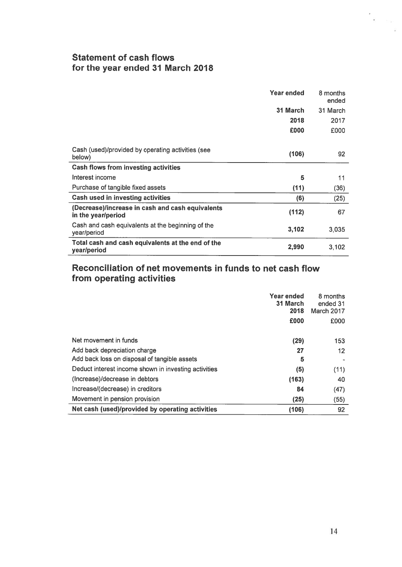### Statement of cash flows for the year ended 31 March 2018

|                                                                        | Year ended | 8 months<br>ended |
|------------------------------------------------------------------------|------------|-------------------|
|                                                                        | 31 March   | 31 March          |
|                                                                        | 2018       | 2017              |
|                                                                        | £000       | £000              |
|                                                                        |            |                   |
| Cash (used)/provided by operating activities (see<br>below)            | (106)      | 92                |
| <b>Cash flows from investing activities</b>                            |            |                   |
| Interest income                                                        | 5          | 11                |
| Purchase of tangible fixed assets                                      | (11)       | (36)              |
| <b>Cash used in investing activities</b>                               | (6)        | (25)              |
| (Decrease)/increase in cash and cash equivalents<br>in the year/period | (112)      | 67                |
| Cash and cash equivalents at the beginning of the<br>year/period       | 3,102      | 3,035             |
| Total cash and cash equivalents at the end of the<br>year/period       | 2,990      | 3,102             |

### Reconciliation of net movements in funds to net cash flow from operating activities

|                                                      | Year ended<br>31 March | 8 months<br>ended 31 |
|------------------------------------------------------|------------------------|----------------------|
|                                                      | 2018                   | March 2017           |
|                                                      | £000                   | £000                 |
|                                                      |                        |                      |
| Net movement in funds                                | (29)                   | 153                  |
| Add back depreciation charge                         | 27                     | 12                   |
| Add back loss on disposal of tangible assets         | 5                      |                      |
| Deduct interest income shown in investing activities | (5)                    | (11)                 |
| (Increase)/decrease in debtors                       | (163)                  | 40                   |
| Increase/(decrease) in creditors                     | 84                     | (47)                 |
| Movement in pension provision                        | (25)                   | (55)                 |
| Net cash (used)/provided by operating activities     | (106)                  | 92                   |

 $\ddot{\phantom{a}}$ 

 $\frac{1}{2}$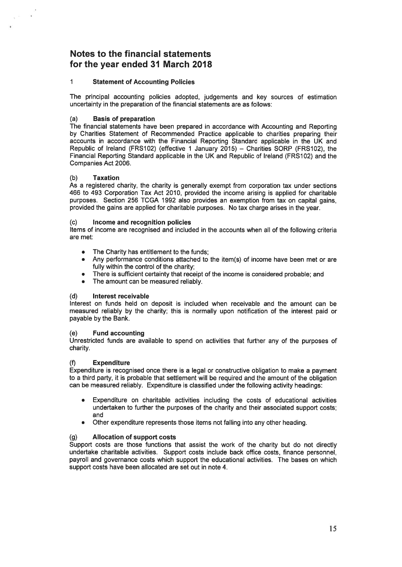### Notes to the financial statements for the year ended 31 March 2018

### 1 Statement of Accounting Policies

The principal accounting policies adopted, judgements and key sources of estimation uncertainty in the preparation of the financial statements are as follows:

#### (a) Basis of preparation

The financial statements have been prepared in accordance with Accounting and Reporting by Charities Statement of Recommended Practice applicable to charities preparing their accounts in accordance with the Financial Reporting Standard applicable in the UK and Republic of Ireland (FRS1O2) (effective 1 January 2015) — Charities SORP (FRS1O2), the Financial Reporting Standard applicable in the UK and Republic of Ireland (FRS1O2) and the Companies Act 2006.

#### (b) Taxation

 $\chi$  in , and

As <sup>a</sup> registered charity, the charity is generally exemp<sup>t</sup> from corporation tax under sections 466 to 493 Corporation Tax Act 2010, provided the income arising is applied for charitable purposes. Section 256 TCGA 1992 also provides an exemption from tax on capital gains, provided the gains are applied for charitable purposes. No tax charge arises in the year.

#### (c) Income and recognition policies

Items of income are recognised and included in the accounts when all of the following criteria are met:

- •The Charity has entitlement to the funds;
- • Any performance conditions attached to the item(s) of income have been met or are fully within the control of the charity:
- •There is sufficient certainty that receipt of the income is considered probable; and
- •The amount can be measured reliably.

### (d) Interest receivable

Interest on funds held on deposit is included when receivable and the amount can be measured reliably by the charity; this is normally upon notification of the interest paid or payable by the Bank.

#### (e) Fund accounting

Unrestricted funds are available to spend on activities that further any of the purposes of charity.

### (f) Expenditure

Expenditure is recognised once there is <sup>a</sup> legal or constructive obligation to make <sup>a</sup> paymen<sup>t</sup> to <sup>a</sup> third party, it is probable that settlement will be required and the amount of the obligation can be measured reliably. Expenditure is classified under the following activity headings:

- Expenditure on charitable activities including the costs of educational activities undertaken to further the purposes of the charity and their associated suppor<sup>t</sup> costs; and
- •Other expenditure represents those items not falling into any other heading.

### (g) Allocation of suppor<sup>t</sup> costs

Support costs are those functions that assist the work of the charity but do not directly undertake charitable activities. Support costs include back office costs, finance personnel, payroll and governance costs which suppor<sup>t</sup> the educational activities. The bases on which suppor<sup>t</sup> costs have been allocated are set out in note 4.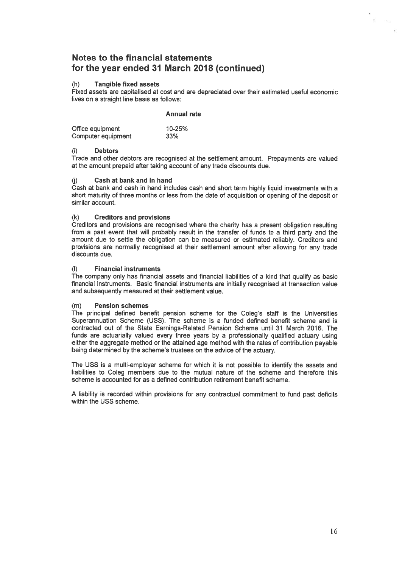### (h) Tangible fixed assets

Fixed assets are capitalised at cost and are depreciated over their estimated useful economic lives on a straight line basis as follows:

#### Annual rate

| Office equipment   | 10-25% |
|--------------------|--------|
| Computer equipment | 33%    |

### (i) Debtors

Trade and other debtors are recognised at the settlement amount. Prepayments are valued at the amount prepaid after taking account of any trade discounts due

### (j) Cash at bank and in hand

Cash at bank and cash in hand includes cash and short term highly liquid investments with <sup>a</sup> short maturity of three months or less from the date of acquisition or opening of the deposit or similar account.

### (k) Creditors and provisions

Creditors and provisions are recognised where the charity has <sup>a</sup> presen<sup>t</sup> obligation resulting from <sup>a</sup> pas<sup>t</sup> event that will probably result in the transfer of funds to <sup>a</sup> third party and the amount due to settle the obligation can be measured or estimated reliably. Creditors and provisions are normally recognised at their settlement amount after allowing for any trade discounts due.

#### **Financial instruments**

The company only has financial assets and financial liabilities of <sup>a</sup> kind that qualify as basic financial instruments. Basic financial instruments are initially recognised at transaction value and subsequently measured at their settlement value.

### (m) Pension schemes

The principal defined benefit pension scheme for the Coleg's staff is the Universities Superannuation Scheme (USS). The scheme is <sup>a</sup> funded defined benefit scheme and is contracted out of the State Earnings-Related Pension Scheme until 31 March 2016. The funds are actuarially valued every three years by <sup>a</sup> professionally qualified actuary using either the aggregate method or the attained age method with the rates of contribution payable being determined by the scheme's trustees on the advice of the actuary.

The USS is <sup>a</sup> multi-employer scheme for which it is not possible to identify the assets and liabilities to Coleg members due to the mutual nature of the scheme and therefore this scheme is accounted for as <sup>a</sup> defined contribution retirement benefit scheme.

A liability is recorded within provisions for any contractual commitment to fund pas<sup>t</sup> deficits within the USS scheme.

 $\mathcal{L}$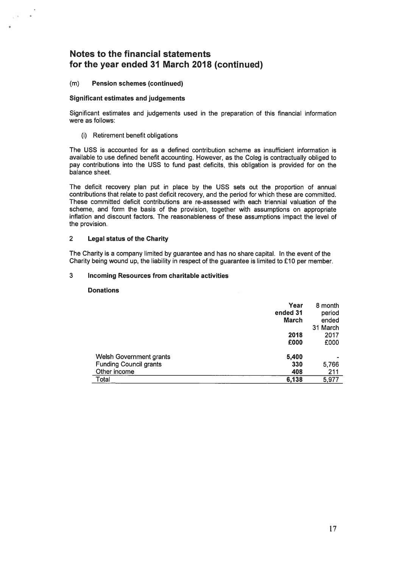#### (m) Pension schemes (continued)

 $\sqrt{m_{\rm e}^2/m_{\rm e}^2}$ 

#### Significant estimates and judgements

Significant estimates and judgements used in the preparation of this financial information were as follows:

(i) Retirement benefit obligations

The USS is accounted for as <sup>a</sup> defined contribution scheme as insufficient information is available to use defined benefit accounting. However, as the Coleg is contractually obliged to pay contributions into the USS to fund pas<sup>t</sup> deficits, this obligation is provided for on the balance sheet.

The deficit recovery plan pu<sup>t</sup> in place by the USS sets out the proportion of annual contributions that relate to pas<sup>t</sup> deficit recovery, and the period for which these are committed. These committed deficit contributions are re-assessed with each triennial valuation of the scheme, and form the basis of the provision, together with assumptions on appropriate inflation and discount factors. The reasonableness of these assumptions impact the level of the provision.

#### 2 Legal status of the Charity

The Charity is <sup>a</sup> company limited by guarantee and has no share capital. In the event of the Charity being wound up, the liability in respec<sup>t</sup> of the guarantee is limited to £10 per member.

#### 3 Incoming Resources from charitable activities

#### Donations

| Year                                 | 8 month  |
|--------------------------------------|----------|
| ended 31                             | period   |
| <b>March</b>                         | ended    |
|                                      | 31 March |
| 2018                                 | 2017     |
| £000                                 | £000     |
| Welsh Government grants<br>5,400     |          |
| 330<br><b>Funding Council grants</b> | 5,766    |
| Other income<br>408                  | 211      |
| Total<br>6,138                       | 5,977    |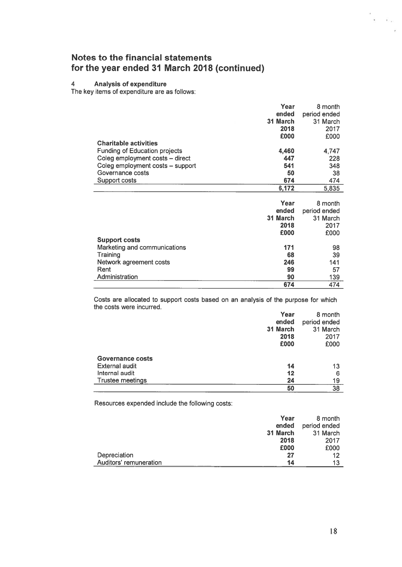#### 4 Analysis of expenditure

The key items of expenditure are as follows:

|                                      | Year     | 8 month      |
|--------------------------------------|----------|--------------|
|                                      | ended    | period ended |
|                                      | 31 March | 31 March     |
|                                      | 2018     | 2017         |
|                                      | £000     | £000         |
| <b>Charitable activities</b>         |          |              |
| <b>Funding of Education projects</b> | 4,460    | 4,747        |
| Coleg employment costs - direct      | 447      | 228          |
|                                      | 541      |              |
| Coleg employment costs - support     |          | 348          |
| Governance costs                     | 50       | 38           |
| Support costs                        | 674      | 474          |
|                                      | 6,172    | 5,835        |
|                                      |          |              |
|                                      | Year     | 8 month      |
|                                      | ended    | period ended |
|                                      | 31 March | 31 March     |
|                                      | 2018     | 2017         |
|                                      | £000     | £000         |
| <b>Support costs</b>                 |          |              |
| Marketing and communications         | 171      | 98           |
| Training                             | 68       | 39           |
|                                      | 246      | 141          |
| Network agreement costs              |          |              |
| Rent                                 | 99       | 57           |
| Administration                       | 90       | 139          |
|                                      | 674      | 474          |

Costs are allocated to suppor<sup>t</sup> costs based on an analysis of the purpose for which the costs were incurred.

|                         | Year     | 8 month      |
|-------------------------|----------|--------------|
|                         | ended    | period ended |
|                         | 31 March | 31 March     |
|                         | 2018     | 2017         |
|                         | £000     | £000         |
| <b>Governance costs</b> |          |              |
| <b>External audit</b>   | 14       | 13           |
| Internal audit          | $12 \,$  | 6            |
| Trustee meetings        | 24       | 19           |
|                         | 50       | 38           |

Resources expended include the following costs:

|                        | Year     | 8 month      |
|------------------------|----------|--------------|
|                        | ended    | period ended |
|                        | 31 March | 31 March     |
|                        | 2018     | 2017         |
|                        | £000     | £000         |
| Depreciation           | 27       | 12           |
| Auditors' remuneration | 14       | 13           |

 $\ddot{\epsilon}$ 

 $\overline{r}$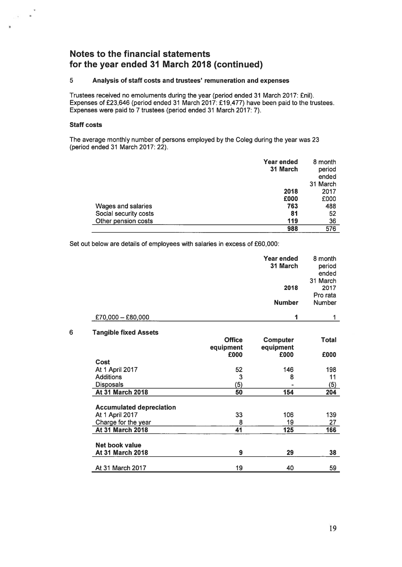### 5 Analysis of staff costs and trustees' remuneration and expenses

Trustees received no emoluments during the year (period ended 31 March 2017: £niI). Expenses of £23,646 (period ended 31 March 2017: £19,477) have been paid to the trustees. Expenses were paid to 7 trustees (period ended 31 March 2017: 7).

#### Staff costs

 $\ddot{}$  $\frac{1}{\sqrt{2}}$  ,  $\frac{1}{\sqrt{2}}$ 

> The average monthly number of persons employed by the Coleg during the year was 23 (period ended 31 March 2017: 22).

|                           | Year ended<br>31 March | 8 month<br>period<br>ended<br>31 March |
|---------------------------|------------------------|----------------------------------------|
|                           | 2018                   | 2017                                   |
|                           | £000                   | £000                                   |
| <b>Wages and salaries</b> | 763                    | 488                                    |
| Social security costs     | 81                     | 52                                     |
| Other pension costs       | 119                    | 36                                     |
|                           | 988                    | 576                                    |

Set out below are details of employees with salaries in excess of £60,000:

|                     | <b>Year ended</b><br>31 March | 8 month<br>period<br>ended<br>31 March |
|---------------------|-------------------------------|----------------------------------------|
|                     | 2018                          | 2017                                   |
|                     |                               | Pro rata                               |
|                     | <b>Number</b>                 | Number                                 |
| $£70,000 - £80,000$ | 4                             |                                        |
|                     |                               |                                        |

#### 6 Tangible fixed Assets

|                                 | <b>Office</b><br>equipment | <b>Computer</b><br>equipment | <b>Total</b> |
|---------------------------------|----------------------------|------------------------------|--------------|
|                                 | £000                       | £000                         | £000         |
| Cost                            |                            |                              |              |
| At 1 April 2017                 | 52                         | 146                          | 198          |
| <b>Additions</b>                | 3                          | 8                            | 11           |
| <b>Disposals</b>                | (5)                        |                              | (5)          |
| <b>At 31 March 2018</b>         | 50                         | 154                          | 204          |
|                                 |                            |                              |              |
| <b>Accumulated depreciation</b> |                            |                              |              |
| At 1 April 2017                 | 33                         | 106                          | 139          |
| Charge for the year             | 8                          | 19                           | 27           |
| <b>At 31 March 2018</b>         | 41                         | 125                          | 166          |
| Net book value                  |                            |                              |              |
| <b>At 31 March 2018</b>         | 9                          | 29                           | 38           |
| At 31 March 2017                | 19                         | 40                           | 59           |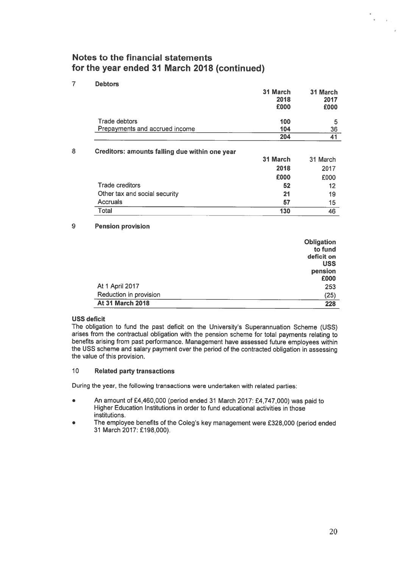#### 10010420453641Trade debtors Prepayments and accrued income 31 March 2018£00031 March 2017 £000Creditors: amounts falling due within one year **31 March** 31 31 March 2018 2017£000 £000Trade creditors $52$  12Other tax and social security **21** 19 Accruals

 $\sim$  57

130 and 2012 and 2013 and 2013 and 2013 and 2013 and 2013 and 2013 and 2013 and 2013 and 2013 and 2013 and 201

#### 9Pension provision

**Total** 

**Debtors** 

|                         | Obligation |
|-------------------------|------------|
|                         | to fund    |
|                         | deficit on |
|                         | <b>USS</b> |
|                         | pension    |
|                         | £000       |
| At 1 April 2017         | 253        |
| Reduction in provision  | (25)       |
| <b>At 31 March 2018</b> | 228        |

### USS deficit

Ĭ.

7

8

The obligation to fund the pas<sup>t</sup> deficit on the University's Superannuation Scheme (USS) arises from the contractual obligation with the pension scheme for total payments relating to benefits arising from pas<sup>t</sup> performance. Management have assessed future employees within the USS scheme and salary paymen<sup>t</sup> over the period of the contracted obligation in assessing the value of this provision.

#### 10Related party transactions

During the year, the following transactions were undertaken with related parties:

- $\bullet$  An amount of £4,460,000 (period ended 31 March 2017: £4,747,000) was paid to Higher Education Institutions in order to fund educational activities in those institutions.
- **The employee benefits of the Coleg's key management were £328,000 (period ended** 31 March 2017: £198,000).

 $7$  15

 $\tilde{b}$ 

130 46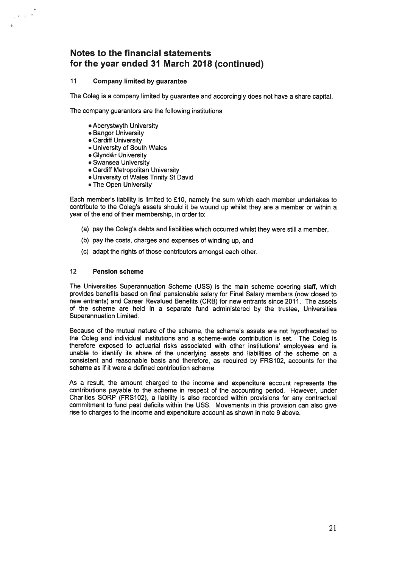#### 11 Company limited by guarantee

The Coleg is <sup>a</sup> company limited by guarantee and accordingly does not have <sup>a</sup> share capital.

The company guarantors are the following institutions:

- Aberystwyth University
- Bangor University
- Cardiff University

 $\sqrt{s}$  and  $\pi$ 

- University of South Wales
- Glyndir University
- Swansea University
- Cardiff Metropolitan University
- University of Wales Trinity St David
- The Open University

Each member's liability is limited to £10, namely the sum which each member undertakes to contribute to the Coleg's assets should it be wound up whilst they are <sup>a</sup> member or within <sup>a</sup> year of the end of their membership, in order to:

- (a) pay the Coleg's debts and liabilities which occurred whilst they were still <sup>a</sup> member,
- (b) pay the costs, charges and expenses of winding up, and
- (c) adapt the rights of those contributors amongs<sup>t</sup> each other.

#### 12 Pension scheme

The Universities Superannuation Scheme (USS) is the main scheme covering staff, which provides benefits based on final pensionable salary for Final Salary members (now closed to new entrants) and Career Revalued Benefits (CRB) for new entrants since 2011. The assets of the scheme are held in <sup>a</sup> separate fund administered by the trustee, Universities Superannuation Limited.

Because of the mutual nature of the scheme, the scheme's assets are not hypothecated to the Coleg and individual institutions and <sup>a</sup> scheme-wide contribution is set. The Coleg is therefore exposed to actuarial risks associated with other institutions' employees and is unable to identify its share of the underlying assets and liabilities of the scheme on <sup>a</sup> consistent and reasonable basis and therefore, as required by FRS1O2, accounts for the scheme as if it were <sup>a</sup> defined contribution scheme.

As <sup>a</sup> result, the amount charged to the income and expenditure account represents the contributions payable to the scheme in respec<sup>t</sup> of the accounting period. However, under Charities SORP (FRS1O2), <sup>a</sup> liability is also recorded within provisions for any contractual commitment to fund pas<sup>t</sup> deficits within the USS. Movements in this provision can also give rise to charges to the income and expenditure account as shown in note 9 above.